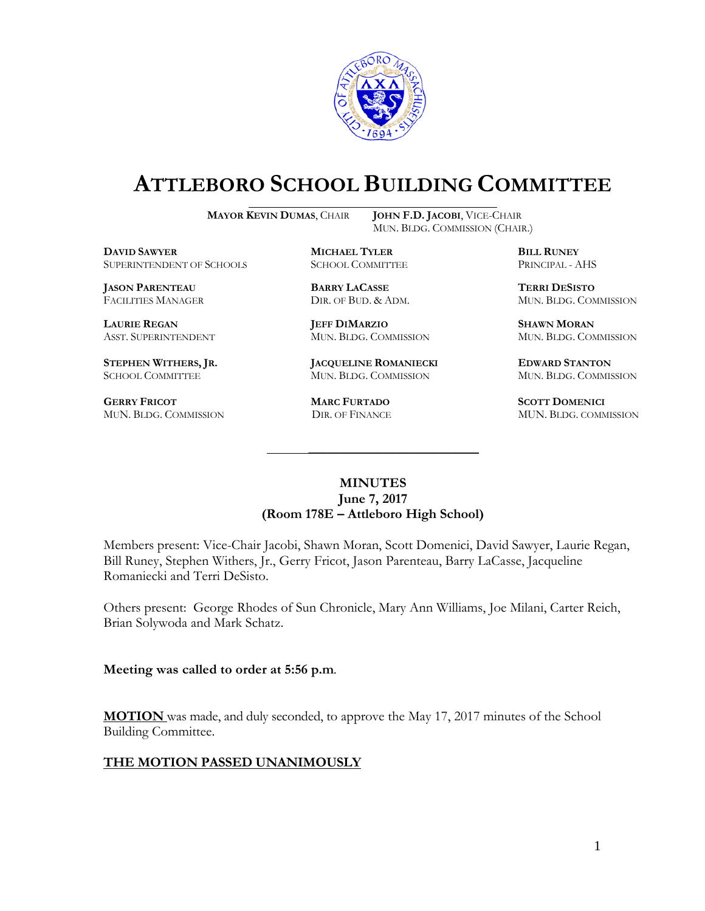

# **ATTLEBORO SCHOOL BUILDING COMMITTEE**

**MAYOR KEVIN DUMAS**, CHAIR **JOHN F.D. JACOBI**, VICE-CHAIR

MUN. BLDG. COMMISSION (CHAIR.)

**DAVID SAWYER MICHAEL TYLER BILL RUNEY** SUPERINTENDENT OF SCHOOLS

**JASON PARENTEAU BARRY LACASSE TERRI DESISTO**

**GERRY FRICOT MARC FURTADO SCOTT DOMENICI** 

**LAURIE REGAN JEFF DIMARZIO SHAWN MORAN**

**STEPHEN WITHERS, JR. JACQUELINE ROMANIECKI EDWARD STANTON** SCHOOL COMMITTEE MUN. BLDG. COMMISSION MUN. BLDG. COMMISSION

FACILITIES MANAGER DIR. OF BUD. & ADM. MUN. BLDG. COMMISSION

ASST. SUPERINTENDENT MUN. BLDG. COMMISSION MUN. BLDG. COMMISSION

MUN. BLDG. COMMISSION DIR. OF FINANCE MUN. BLDG. COMMISSION

#### **MINUTES June 7, 2017 (Room 178E – Attleboro High School)**

\_\_\_\_\_\_\_\_\_\_\_\_\_\_\_\_\_\_\_\_\_\_\_\_\_\_\_\_\_\_\_\_\_\_\_\_\_

Members present: Vice-Chair Jacobi, Shawn Moran, Scott Domenici, David Sawyer, Laurie Regan, Bill Runey, Stephen Withers, Jr., Gerry Fricot, Jason Parenteau, Barry LaCasse, Jacqueline Romaniecki and Terri DeSisto.

Others present: George Rhodes of Sun Chronicle, Mary Ann Williams, Joe Milani, Carter Reich, Brian Solywoda and Mark Schatz.

**Meeting was called to order at 5:56 p.m**.

**MOTION** was made, and duly seconded, to approve the May 17, 2017 minutes of the School Building Committee.

### **THE MOTION PASSED UNANIMOUSLY**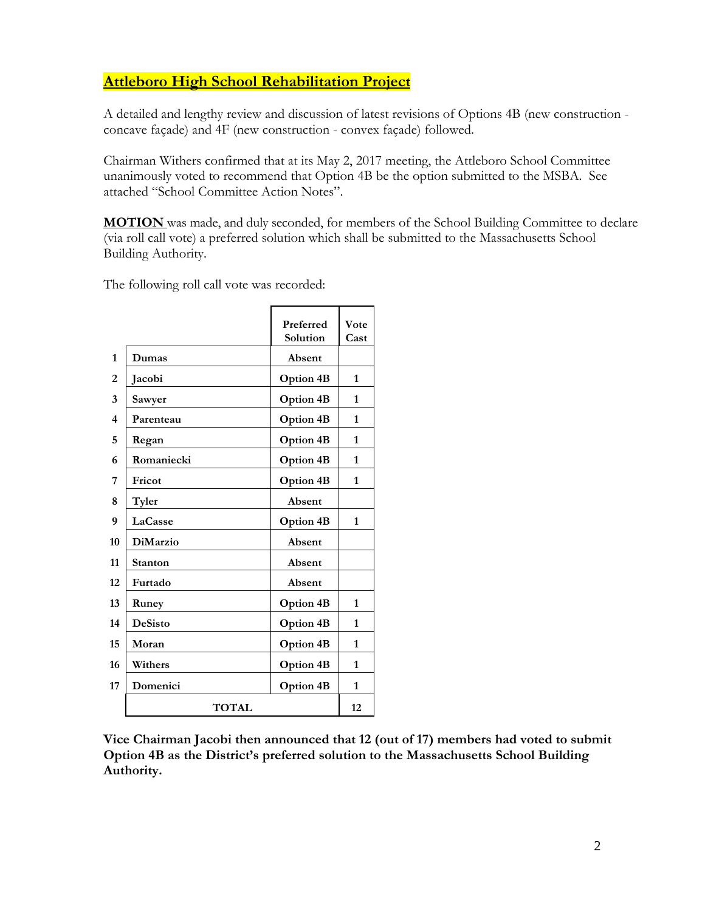# **Attleboro High School Rehabilitation Project**

A detailed and lengthy review and discussion of latest revisions of Options 4B (new construction concave façade) and 4F (new construction - convex façade) followed.

Chairman Withers confirmed that at its May 2, 2017 meeting, the Attleboro School Committee unanimously voted to recommend that Option 4B be the option submitted to the MSBA. See attached "School Committee Action Notes".

**MOTION** was made, and duly seconded, for members of the School Building Committee to declare (via roll call vote) a preferred solution which shall be submitted to the Massachusetts School Building Authority.

The following roll call vote was recorded:

|                         |                 | Preferred        | Vote         |
|-------------------------|-----------------|------------------|--------------|
|                         |                 | Solution         | Cast         |
| 1                       | Dumas           | Absent           |              |
| $\overline{2}$          | Jacobi          | <b>Option 4B</b> | 1            |
| 3                       | Sawyer          | <b>Option 4B</b> | $\mathbf{1}$ |
| $\overline{\mathbf{4}}$ | Parenteau       | <b>Option 4B</b> | 1            |
| 5                       | Regan           | Option 4B        | 1            |
| 6                       | Romaniecki      | <b>Option 4B</b> | 1            |
| 7                       | Fricot          | <b>Option 4B</b> | 1            |
| 8                       | Tyler           | Absent           |              |
| 9                       | LaCasse         | <b>Option 4B</b> | 1            |
| 10                      | <b>DiMarzio</b> | Absent           |              |
| 11                      | <b>Stanton</b>  | Absent           |              |
| 12                      | Furtado         | Absent           |              |
| 13                      | Runey           | <b>Option 4B</b> | 1            |
| 14                      | <b>DeSisto</b>  | <b>Option 4B</b> | 1            |
| 15                      | Moran           | <b>Option 4B</b> | 1            |
| 16                      | Withers         | <b>Option 4B</b> | 1            |
| 17                      | Domenici        | <b>Option 4B</b> | 1            |
|                         | <b>TOTAL</b>    |                  | 12           |

**Vice Chairman Jacobi then announced that 12 (out of 17) members had voted to submit Option 4B as the District's preferred solution to the Massachusetts School Building Authority.**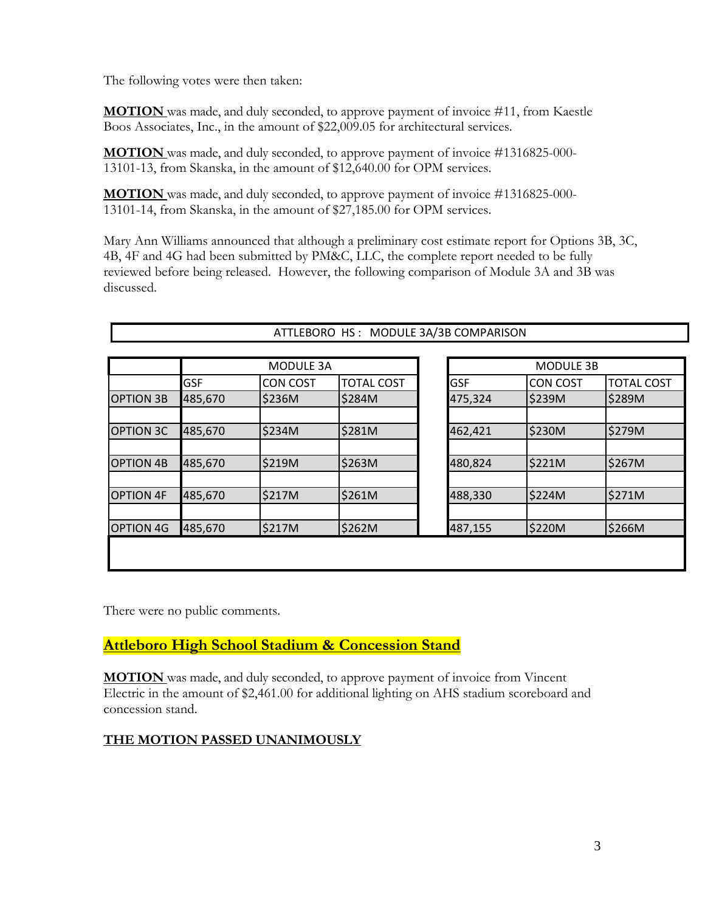The following votes were then taken:

**MOTION** was made, and duly seconded, to approve payment of invoice #11, from Kaestle Boos Associates, Inc., in the amount of \$22,009.05 for architectural services.

**MOTION** was made, and duly seconded, to approve payment of invoice #1316825-000- 13101-13, from Skanska, in the amount of \$12,640.00 for OPM services.

**MOTION** was made, and duly seconded, to approve payment of invoice #1316825-000- 13101-14, from Skanska, in the amount of \$27,185.00 for OPM services.

Mary Ann Williams announced that although a preliminary cost estimate report for Options 3B, 3C, 4B, 4F and 4G had been submitted by PM&C, LLC, the complete report needed to be fully reviewed before being released. However, the following comparison of Module 3A and 3B was discussed.

| <b>GSF</b><br><b>OPTION 3B</b> |         | <b>CON COST</b> |                   |            |                 |                   |
|--------------------------------|---------|-----------------|-------------------|------------|-----------------|-------------------|
|                                |         |                 | <b>TOTAL COST</b> | <b>GSF</b> | <b>CON COST</b> | <b>TOTAL COST</b> |
|                                | 485,670 | \$236M          | \$284M            | 475,324    | \$239M          | \$289M            |
|                                |         |                 |                   |            |                 |                   |
| <b>OPTION 3C</b>               | 485,670 | \$234M          | \$281M            | 462,421    | \$230M          | \$279M            |
|                                |         |                 |                   |            |                 |                   |
| <b>OPTION 4B</b>               | 485,670 | \$219M          | \$263M            | 480,824    | \$221M          | \$267M            |
|                                |         |                 |                   |            |                 |                   |
| <b>OPTION 4F</b>               | 485,670 | \$217M          | \$261M            | 488,330    | \$224M          | \$271M            |
|                                |         |                 |                   |            |                 |                   |
| <b>OPTION 4G</b>               | 485,670 | \$217M          | \$262M            | 487,155    | \$220M          | \$266M            |

ATTLEBORO HS : MODULE 3A/3B COMPARISON

There were no public comments.

**Attleboro High School Stadium & Concession Stand**

**MOTION** was made, and duly seconded, to approve payment of invoice from Vincent Electric in the amount of \$2,461.00 for additional lighting on AHS stadium scoreboard and concession stand.

### **THE MOTION PASSED UNANIMOUSLY**